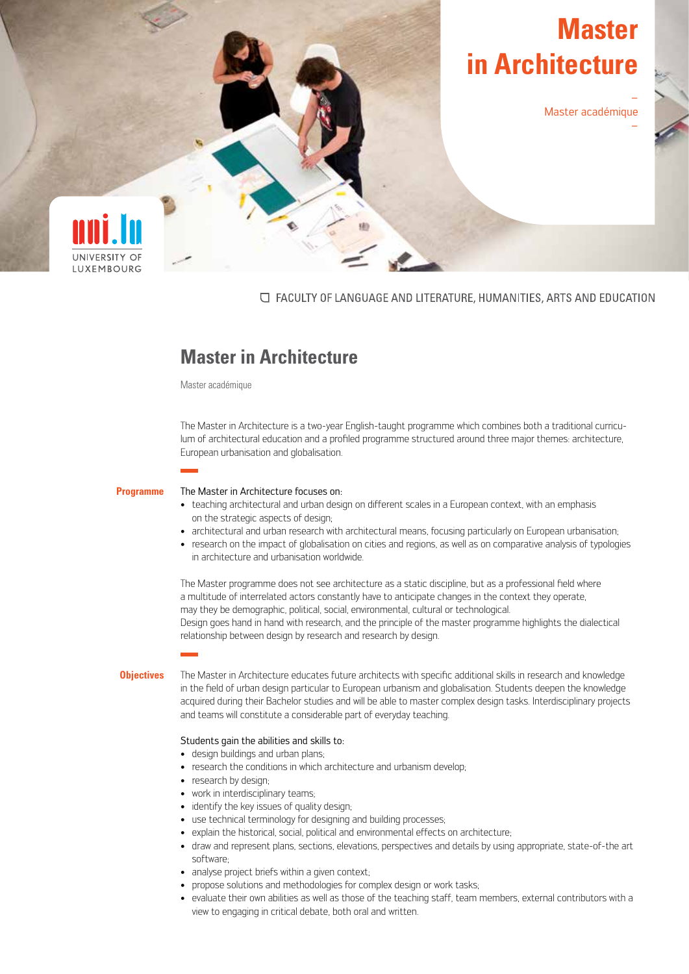# **Master in Architecture**

Master académique

–

–



○ FACULTY OF LANGUAGE AND LITERATURE, HUMANITIES, ARTS AND EDUCATION

# **Master in Architecture**

Master académique

The Master in Architecture is a two-year English-taught programme which combines both a traditional curriculum of architectural education and a profiled programme structured around three major themes: architecture, European urbanisation and globalisation.

#### **Programme**

#### The Master in Architecture focuses on:

- teaching architectural and urban design on different scales in a European context, with an emphasis on the strategic aspects of design;
- architectural and urban research with architectural means, focusing particularly on European urbanisation;
- research on the impact of globalisation on cities and regions, as well as on comparative analysis of typologies in architecture and urbanisation worldwide.

The Master programme does not see architecture as a static discipline, but as a professional field where a multitude of interrelated actors constantly have to anticipate changes in the context they operate, may they be demographic, political, social, environmental, cultural or technological. Design goes hand in hand with research, and the principle of the master programme highlights the dialectical relationship between design by research and research by design.

# **Objectives**

The Master in Architecture educates future architects with specific additional skills in research and knowledge in the field of urban design particular to European urbanism and globalisation. Students deepen the knowledge acquired during their Bachelor studies and will be able to master complex design tasks. Interdisciplinary projects and teams will constitute a considerable part of everyday teaching.

# Students gain the abilities and skills to:

- design buildings and urban plans;
- research the conditions in which architecture and urbanism develop;
- research by design;
- work in interdisciplinary teams;
- identify the key issues of quality design;
- use technical terminology for designing and building processes;
- explain the historical, social, political and environmental effects on architecture;
- draw and represent plans, sections, elevations, perspectives and details by using appropriate, state-of-the art software;
- analyse project briefs within a given context;
- propose solutions and methodologies for complex design or work tasks;
- evaluate their own abilities as well as those of the teaching staff, team members, external contributors with a view to engaging in critical debate, both oral and written.